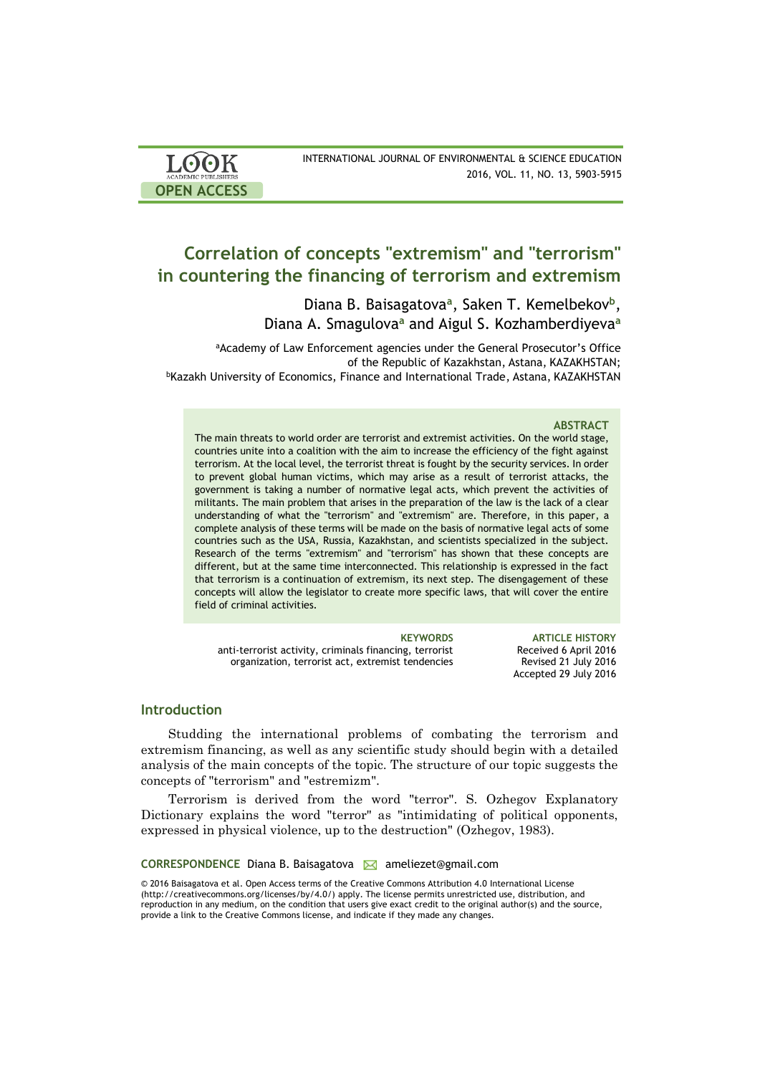| <b>LOOK</b>                | INTERNATIONAL JOURNAL OF ENVIRONMENTAL & SCIENCE EDUCATION |
|----------------------------|------------------------------------------------------------|
| <b>ACADEMIC PUBLISHERS</b> | 2016, VOL. 11, NO. 13, 5903-5915                           |
| <b>OPEN ACCESS</b>         |                                                            |

# **Correlation of concepts "extremism" and "terrorism" in countering the financing of terrorism and extremism**

Diana B. Baisagatova<sup>a</sup>, Saken T. Kemelbekov<sup>b</sup>, Diana A. Smagulova**<sup>a</sup>** and Aigul S. Kozhamberdiyeva**<sup>a</sup>**

aAcademy of Law Enforcement agencies under the General Prosecutor's Office of the Republic of Kazakhstan, Astana, KAZAKHSTAN; <sup>b</sup>Kazakh University of Economics, Finance and International Trade, Astana, KAZAKHSTAN

### **ABSTRACT**

The main threats to world order are terrorist and extremist activities. On the world stage, countries unite into a coalition with the aim to increase the efficiency of the fight against terrorism. At the local level, the terrorist threat is fought by the security services. In order to prevent global human victims, which may arise as a result of terrorist attacks, the government is taking a number of normative legal acts, which prevent the activities of militants. The main problem that arises in the preparation of the law is the lack of a clear understanding of what the "terrorism" and "extremism" are. Therefore, in this paper, a complete analysis of these terms will be made on the basis of normative legal acts of some countries such as the USA, Russia, Kazakhstan, and scientists specialized in the subject. Research of the terms "extremism" and "terrorism" has shown that these concepts are different, but at the same time interconnected. This relationship is expressed in the fact that terrorism is a continuation of extremism, its next step. The disengagement of these concepts will allow the legislator to create more specific laws, that will cover the entire field of criminal activities.

anti-terrorist activity, criminals financing, terrorist organization, terrorist act, extremist tendencies

**KEYWORDS ARTICLE HISTORY** Received 6 April 2016 Revised 21 July 2016 Accepted 29 July 2016

### **Introduction**

Studding the international problems of combating the terrorism and extremism financing, as well as any scientific study should begin with a detailed analysis of the main concepts of the topic. The structure of our topic suggests the concepts of "terrorism" and "estremizm".

Terrorism is derived from the word "terror". S. Ozhegov Explanatory Dictionary explains the word "terror" as "intimidating of political opponents, expressed in physical violence, up to the destruction" (Ozhegov, 1983).

### **CORRESPONDENCE** Diana B. Baisagatova **M** ameliezet@gmail.com

© 2016 Baisagatova et al. Open Access terms of the Creative Commons Attribution 4.0 International License (http://creativecommons.org/licenses/by/4.0/) apply. The license permits unrestricted use, distribution, and reproduction in any medium, on the condition that users give exact credit to the original author(s) and the source, provide a link to the Creative Commons license, and indicate if they made any changes.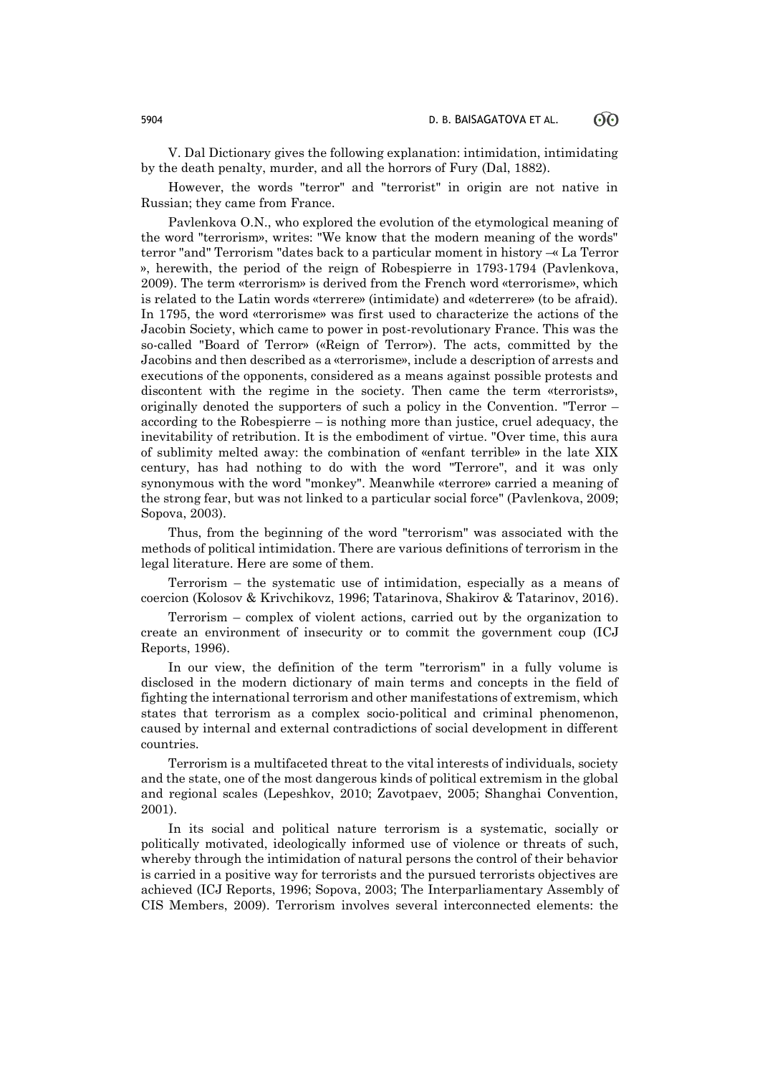V. Dal Dictionary gives the following explanation: intimidation, intimidating by the death penalty, murder, and all the horrors of Fury (Dal, 1882).

However, the words "terror" and "terrorist" in origin are not native in Russian; they came from France.

Pavlenkova O.N., who explored the evolution of the etymological meaning of the word "terrorism», writes: "We know that the modern meaning of the words" terror "and" Terrorism "dates back to a particular moment in history –« La Terror », herewith, the period of the reign of Robespierre in 1793-1794 (Pavlenkova, 2009). The term «terrorism» is derived from the French word «terrorisme», which is related to the Latin words «terrere» (intimidate) and «deterrere» (to be afraid). In 1795, the word «terrorisme» was first used to characterize the actions of the Jacobin Society, which came to power in post-revolutionary France. This was the so-called "Board of Terror» («Reign of Terror»). The acts, committed by the Jacobins and then described as a «terrorisme», include a description of arrests and executions of the opponents, considered as a means against possible protests and discontent with the regime in the society. Then came the term «terrorists», originally denoted the supporters of such a policy in the Convention. "Terror – according to the Robespierre – is nothing more than justice, cruel adequacy, the inevitability of retribution. It is the embodiment of virtue. "Over time, this aura of sublimity melted away: the combination of «enfant terrible» in the late XIX century, has had nothing to do with the word "Terrore", and it was only synonymous with the word "monkey". Meanwhile «terrore» carried a meaning of the strong fear, but was not linked to a particular social force" (Pavlenkova, 2009; Sopova, 2003).

Thus, from the beginning of the word "terrorism" was associated with the methods of political intimidation. There are various definitions of terrorism in the legal literature. Here are some of them.

Terrorism – the systematic use of intimidation, especially as a means of coercion (Kolosov & Krivchikovz, 1996; Tatarinova, Shakirov & Tatarinov, 2016).

Terrorism – complex of violent actions, carried out by the organization to create an environment of insecurity or to commit the government coup (ICJ Reports, 1996).

In our view, the definition of the term "terrorism" in a fully volume is disclosed in the modern dictionary of main terms and concepts in the field of fighting the international terrorism and other manifestations of extremism, which states that terrorism as a complex socio-political and criminal phenomenon, caused by internal and external contradictions of social development in different countries.

Terrorism is a multifaceted threat to the vital interests of individuals, society and the state, one of the most dangerous kinds of political extremism in the global and regional scales (Lepeshkov, 2010; Zavotpaev, 2005; Shanghai Convention, 2001).

In its social and political nature terrorism is a systematic, socially or politically motivated, ideologically informed use of violence or threats of such, whereby through the intimidation of natural persons the control of their behavior is carried in a positive way for terrorists and the pursued terrorists objectives are achieved (ICJ Reports, 1996; Sopova, 2003; The Interparliamentary Assembly of CIS Members, 2009). Terrorism involves several interconnected elements: the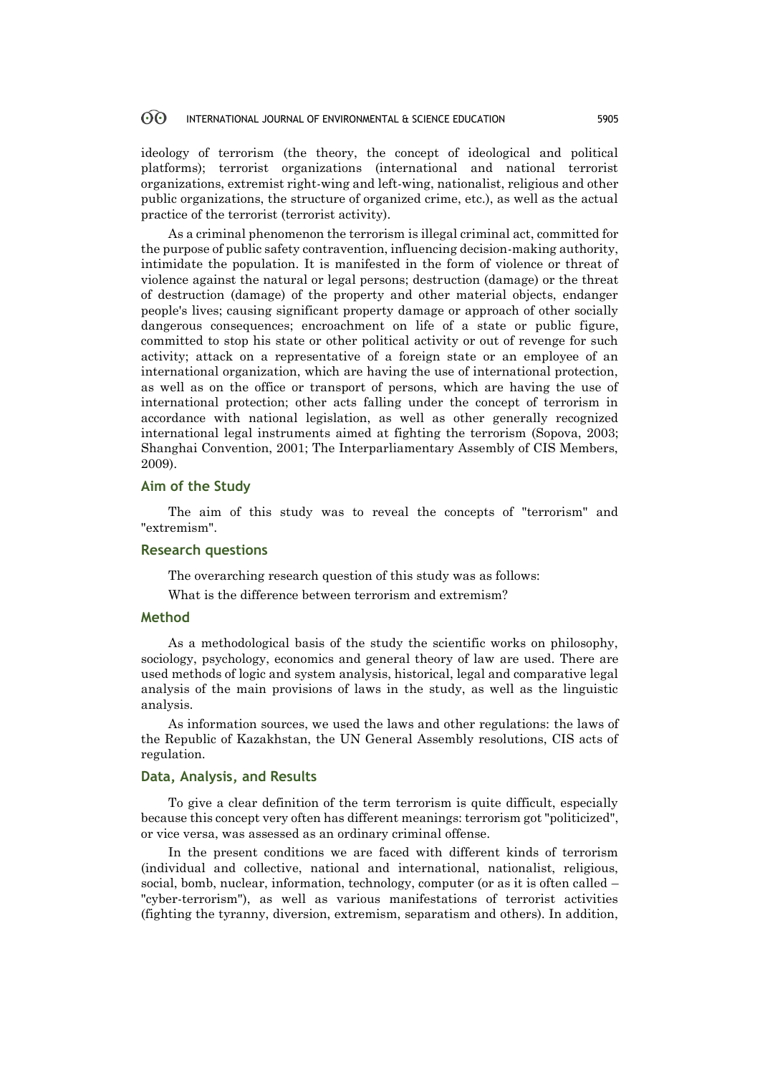ideology of terrorism (the theory, the concept of ideological and political platforms); terrorist organizations (international and national terrorist organizations, extremist right-wing and left-wing, nationalist, religious and other public organizations, the structure of organized crime, etc.), as well as the actual practice of the terrorist (terrorist activity).

As a criminal phenomenon the terrorism is illegal criminal act, committed for the purpose of public safety contravention, influencing decision-making authority, intimidate the population. It is manifested in the form of violence or threat of violence against the natural or legal persons; destruction (damage) or the threat of destruction (damage) of the property and other material objects, endanger people's lives; causing significant property damage or approach of other socially dangerous consequences; encroachment on life of a state or public figure, committed to stop his state or other political activity or out of revenge for such activity; attack on a representative of a foreign state or an employee of an international organization, which are having the use of international protection, as well as on the office or transport of persons, which are having the use of international protection; other acts falling under the concept of terrorism in accordance with national legislation, as well as other generally recognized international legal instruments aimed at fighting the terrorism (Sopova, 2003; Shanghai Convention, 2001; The Interparliamentary Assembly of CIS Members, 2009).

### **Aim of the Study**

The aim of this study was to reveal the concepts of "terrorism" and "extremism".

# **Research questions**

The overarching research question of this study was as follows:

What is the difference between terrorism and extremism?

### **Method**

As a methodological basis of the study the scientific works on philosophy, sociology, psychology, economics and general theory of law are used. There are used methods of logic and system analysis, historical, legal and comparative legal analysis of the main provisions of laws in the study, as well as the linguistic analysis.

As information sources, we used the laws and other regulations: the laws of the Republic of Kazakhstan, the UN General Assembly resolutions, CIS acts of regulation.

## **Data, Analysis, and Results**

To give a clear definition of the term terrorism is quite difficult, especially because this concept very often has different meanings: terrorism got "politicized", or vice versa, was assessed as an ordinary criminal offense.

In the present conditions we are faced with different kinds of terrorism (individual and collective, national and international, nationalist, religious, social, bomb, nuclear, information, technology, computer (or as it is often called – "cyber-terrorism"), as well as various manifestations of terrorist activities (fighting the tyranny, diversion, extremism, separatism and others). In addition,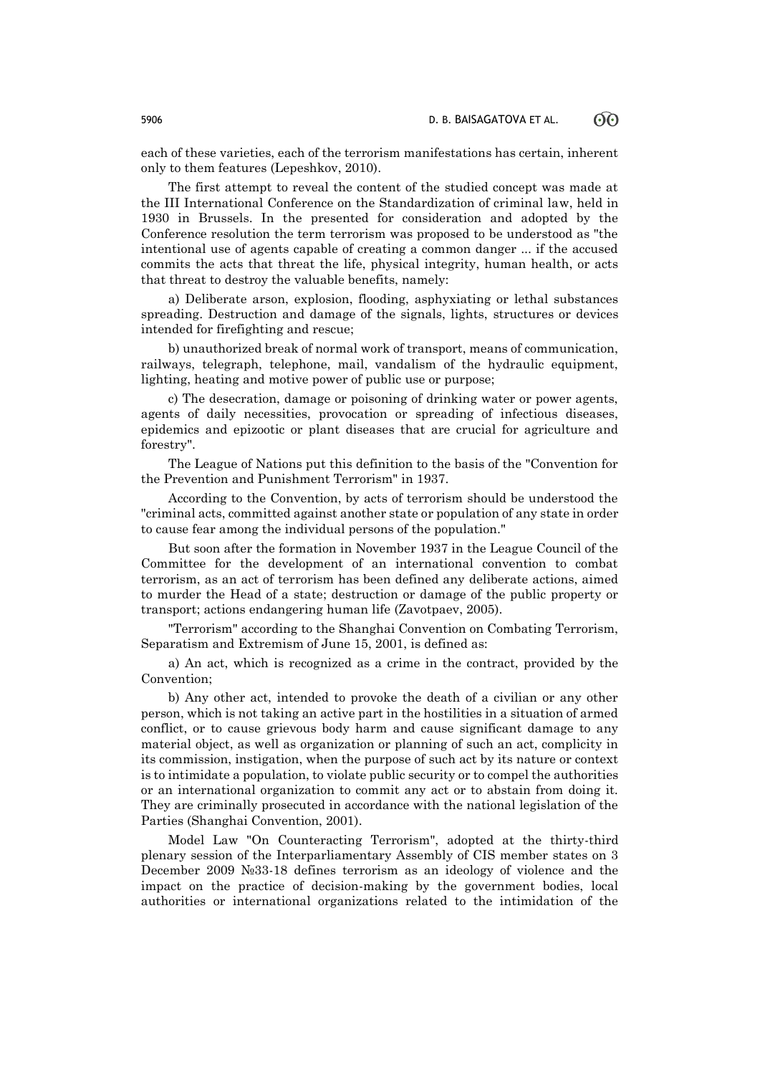each of these varieties, each of the terrorism manifestations has certain, inherent only to them features (Lepeshkov, 2010).

The first attempt to reveal the content of the studied concept was made at the III International Conference on the Standardization of criminal law, held in 1930 in Brussels. In the presented for consideration and adopted by the Conference resolution the term terrorism was proposed to be understood as "the intentional use of agents capable of creating a common danger ... if the accused commits the acts that threat the life, physical integrity, human health, or acts that threat to destroy the valuable benefits, namely:

a) Deliberate arson, explosion, flooding, asphyxiating or lethal substances spreading. Destruction and damage of the signals, lights, structures or devices intended for firefighting and rescue;

b) unauthorized break of normal work of transport, means of communication, railways, telegraph, telephone, mail, vandalism of the hydraulic equipment, lighting, heating and motive power of public use or purpose;

c) The desecration, damage or poisoning of drinking water or power agents, agents of daily necessities, provocation or spreading of infectious diseases, epidemics and epizootic or plant diseases that are crucial for agriculture and forestry".

The League of Nations put this definition to the basis of the "Convention for the Prevention and Punishment Terrorism" in 1937.

According to the Convention, by acts of terrorism should be understood the "criminal acts, committed against another state or population of any state in order to cause fear among the individual persons of the population."

But soon after the formation in November 1937 in the League Council of the Committee for the development of an international convention to combat terrorism, as an act of terrorism has been defined any deliberate actions, aimed to murder the Head of a state; destruction or damage of the public property or transport; actions endangering human life (Zavotpaev, 2005).

"Terrorism" according to the Shanghai Convention on Combating Terrorism, Separatism and Extremism of June 15, 2001, is defined as:

a) An act, which is recognized as a crime in the contract, provided by the Convention;

b) Any other act, intended to provoke the death of a civilian or any other person, which is not taking an active part in the hostilities in a situation of armed conflict, or to cause grievous body harm and cause significant damage to any material object, as well as organization or planning of such an act, complicity in its commission, instigation, when the purpose of such act by its nature or context is to intimidate a population, to violate public security or to compel the authorities or an international organization to commit any act or to abstain from doing it. They are criminally prosecuted in accordance with the national legislation of the Parties (Shanghai Convention, 2001).

Model Law "On Counteracting Terrorism", adopted at the thirty-third plenary session of the Interparliamentary Assembly of CIS member states on 3 December 2009 №33-18 defines terrorism as an ideology of violence and the impact on the practice of decision-making by the government bodies, local authorities or international organizations related to the intimidation of the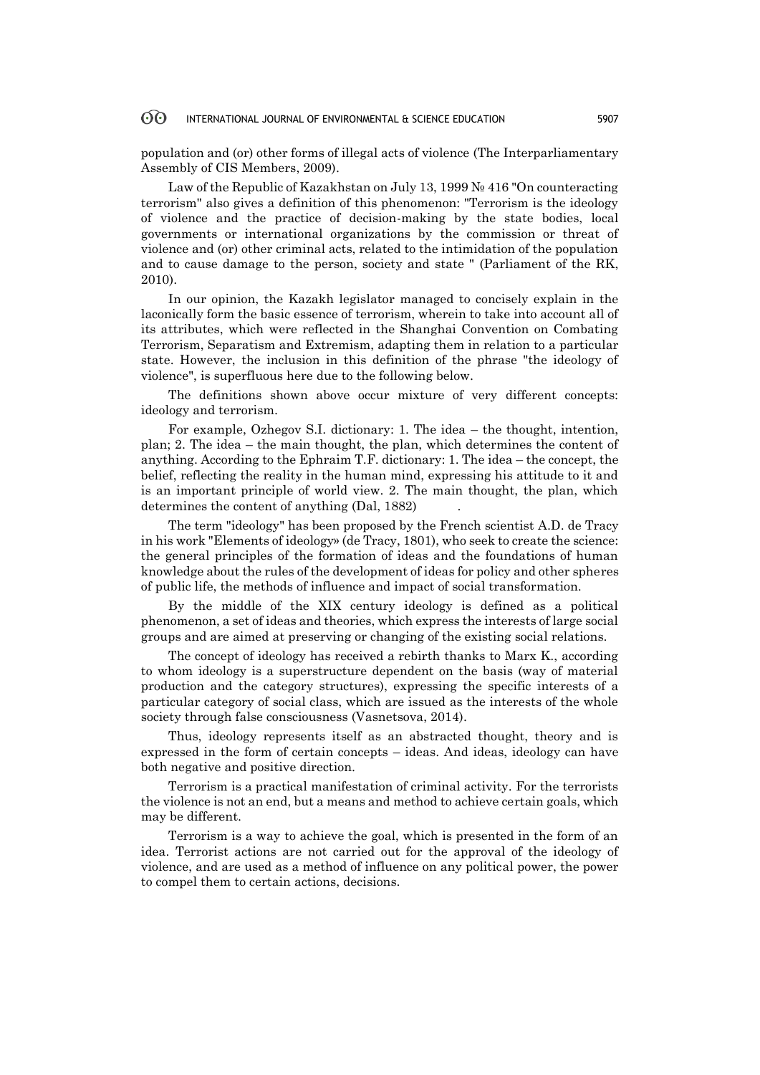population and (or) other forms of illegal acts of violence (The Interparliamentary Assembly of CIS Members, 2009).

Law of the Republic of Kazakhstan on July 13, 1999 № 416 "On counteracting terrorism" also gives a definition of this phenomenon: "Terrorism is the ideology of violence and the practice of decision-making by the state bodies, local governments or international organizations by the commission or threat of violence and (or) other criminal acts, related to the intimidation of the population and to cause damage to the person, society and state " (Parliament of the RK, 2010).

In our opinion, the Kazakh legislator managed to concisely explain in the laconically form the basic essence of terrorism, wherein to take into account all of its attributes, which were reflected in the Shanghai Convention on Combating Terrorism, Separatism and Extremism, adapting them in relation to a particular state. However, the inclusion in this definition of the phrase "the ideology of violence", is superfluous here due to the following below.

The definitions shown above occur mixture of very different concepts: ideology and terrorism.

For example, Ozhegov S.I. dictionary: 1. The idea – the thought, intention, plan; 2. The idea – the main thought, the plan, which determines the content of anything. According to the Ephraim T.F. dictionary: 1. The idea – the concept, the belief, reflecting the reality in the human mind, expressing his attitude to it and is an important principle of world view. 2. The main thought, the plan, which determines the content of anything (Dal, 1882).

The term "ideology" has been proposed by the French scientist A.D. de Tracy in his work "Elements of ideology» (de Tracy, 1801), who seek to create the science: the general principles of the formation of ideas and the foundations of human knowledge about the rules of the development of ideas for policy and other spheres of public life, the methods of influence and impact of social transformation.

By the middle of the XIX century ideology is defined as a political phenomenon, a set of ideas and theories, which express the interests of large social groups and are aimed at preserving or changing of the existing social relations.

The concept of ideology has received a rebirth thanks to Marx K., according to whom ideology is a superstructure dependent on the basis (way of material production and the category structures), expressing the specific interests of a particular category of social class, which are issued as the interests of the whole society through false consciousness (Vasnetsova, 2014).

Thus, ideology represents itself as an abstracted thought, theory and is expressed in the form of certain concepts – ideas. And ideas, ideology can have both negative and positive direction.

Terrorism is a practical manifestation of criminal activity. For the terrorists the violence is not an end, but a means and method to achieve certain goals, which may be different.

Terrorism is a way to achieve the goal, which is presented in the form of an idea. Terrorist actions are not carried out for the approval of the ideology of violence, and are used as a method of influence on any political power, the power to compel them to certain actions, decisions.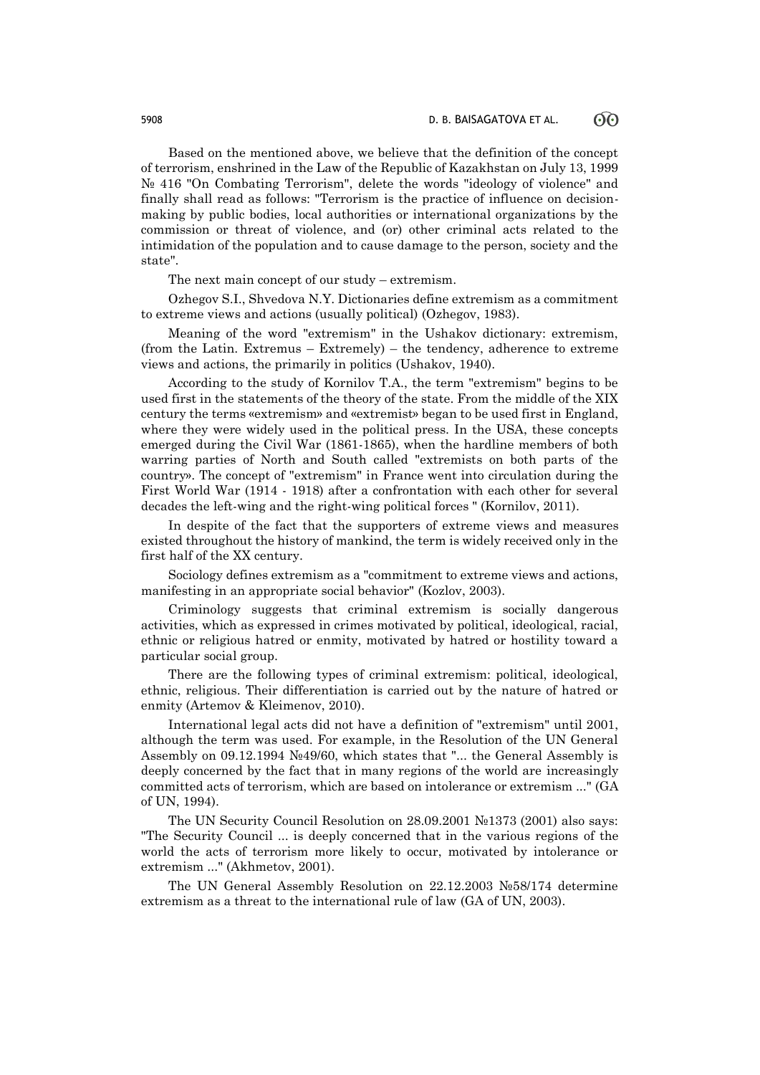Based on the mentioned above, we believe that the definition of the concept of terrorism, enshrined in the Law of the Republic of Kazakhstan on July 13, 1999 № 416 "On Combating Terrorism", delete the words "ideology of violence" and finally shall read as follows: "Terrorism is the practice of influence on decisionmaking by public bodies, local authorities or international organizations by the commission or threat of violence, and (or) other criminal acts related to the intimidation of the population and to cause damage to the person, society and the state".

The next main concept of our study – extremism.

Ozhegov S.I., Shvedova N.Y. Dictionaries define extremism as a commitment to extreme views and actions (usually political) (Ozhegov, 1983).

Meaning of the word "extremism" in the Ushakov dictionary: extremism, (from the Latin. Extremus – Extremely) – the tendency, adherence to extreme views and actions, the primarily in politics (Ushakov, 1940).

According to the study of Kornilov T.A., the term "extremism" begins to be used first in the statements of the theory of the state. From the middle of the XIX century the terms «extremism» and «extremist» began to be used first in England, where they were widely used in the political press. In the USA, these concepts emerged during the Civil War (1861-1865), when the hardline members of both warring parties of North and South called "extremists on both parts of the country». The concept of "extremism" in France went into circulation during the First World War (1914 - 1918) after a confrontation with each other for several decades the left-wing and the right-wing political forces " (Kornilov, 2011).

In despite of the fact that the supporters of extreme views and measures existed throughout the history of mankind, the term is widely received only in the first half of the XX century.

Sociology defines extremism as a "commitment to extreme views and actions, manifesting in an appropriate social behavior" (Kozlov, 2003).

Criminology suggests that criminal extremism is socially dangerous activities, which as expressed in crimes motivated by political, ideological, racial, ethnic or religious hatred or enmity, motivated by hatred or hostility toward a particular social group.

There are the following types of criminal extremism: political, ideological, ethnic, religious. Their differentiation is carried out by the nature of hatred or enmity (Artemov & Kleimenov, 2010).

International legal acts did not have a definition of "extremism" until 2001, although the term was used. For example, in the Resolution of the UN General Assembly on 09.12.1994 №49/60, which states that "... the General Assembly is deeply concerned by the fact that in many regions of the world are increasingly committed acts of terrorism, which are based on intolerance or extremism ..." (GA of UN, 1994).

The UN Security Council Resolution on 28.09.2001 №1373 (2001) also says: "The Security Council ... is deeply concerned that in the various regions of the world the acts of terrorism more likely to occur, motivated by intolerance or extremism ..." (Akhmetov, 2001).

The UN General Assembly Resolution on 22.12.2003 №58/174 determine extremism as a threat to the international rule of law (GA of UN, 2003).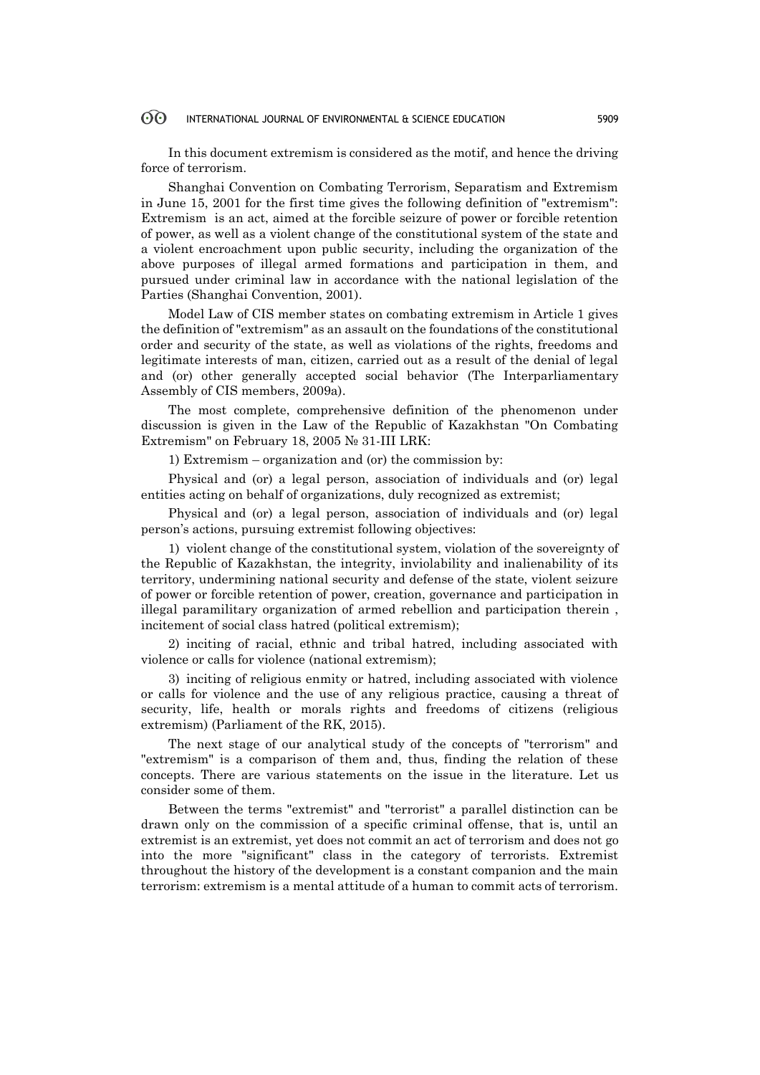In this document extremism is considered as the motif, and hence the driving force of terrorism.

Shanghai Convention on Combating Terrorism, Separatism and Extremism in June 15, 2001 for the first time gives the following definition of "extremism": Extremism is an act, aimed at the forcible seizure of power or forcible retention of power, as well as a violent change of the constitutional system of the state and a violent encroachment upon public security, including the organization of the above purposes of illegal armed formations and participation in them, and pursued under criminal law in accordance with the national legislation of the Parties (Shanghai Convention, 2001).

Model Law of CIS member states on combating extremism in Article 1 gives the definition of "extremism" as an assault on the foundations of the constitutional order and security of the state, as well as violations of the rights, freedoms and legitimate interests of man, citizen, carried out as a result of the denial of legal and (or) other generally accepted social behavior (The Interparliamentary Assembly of CIS members, 2009a).

The most complete, comprehensive definition of the phenomenon under discussion is given in the Law of the Republic of Kazakhstan "On Combating Extremism" on February 18, 2005 № 31-III LRK:

1) Extremism – organization and (or) the commission by:

Physical and (or) a legal person, association of individuals and (or) legal entities acting on behalf of organizations, duly recognized as extremist;

Physical and (or) a legal person, association of individuals and (or) legal person's actions, pursuing extremist following objectives:

1) violent change of the constitutional system, violation of the sovereignty of the Republic of Kazakhstan, the integrity, inviolability and inalienability of its territory, undermining national security and defense of the state, violent seizure of power or forcible retention of power, creation, governance and participation in illegal paramilitary organization of armed rebellion and participation therein , incitement of social class hatred (political extremism);

2) inciting of racial, ethnic and tribal hatred, including associated with violence or calls for violence (national extremism);

3) inciting of religious enmity or hatred, including associated with violence or calls for violence and the use of any religious practice, causing a threat of security, life, health or morals rights and freedoms of citizens (religious extremism) (Parliament of the RK, 2015).

The next stage of our analytical study of the concepts of "terrorism" and "extremism" is a comparison of them and, thus, finding the relation of these concepts. There are various statements on the issue in the literature. Let us consider some of them.

Between the terms "extremist" and "terrorist" a parallel distinction can be drawn only on the commission of a specific criminal offense, that is, until an extremist is an extremist, yet does not commit an act of terrorism and does not go into the more "significant" class in the category of terrorists. Extremist throughout the history of the development is a constant companion and the main terrorism: extremism is a mental attitude of a human to commit acts of terrorism.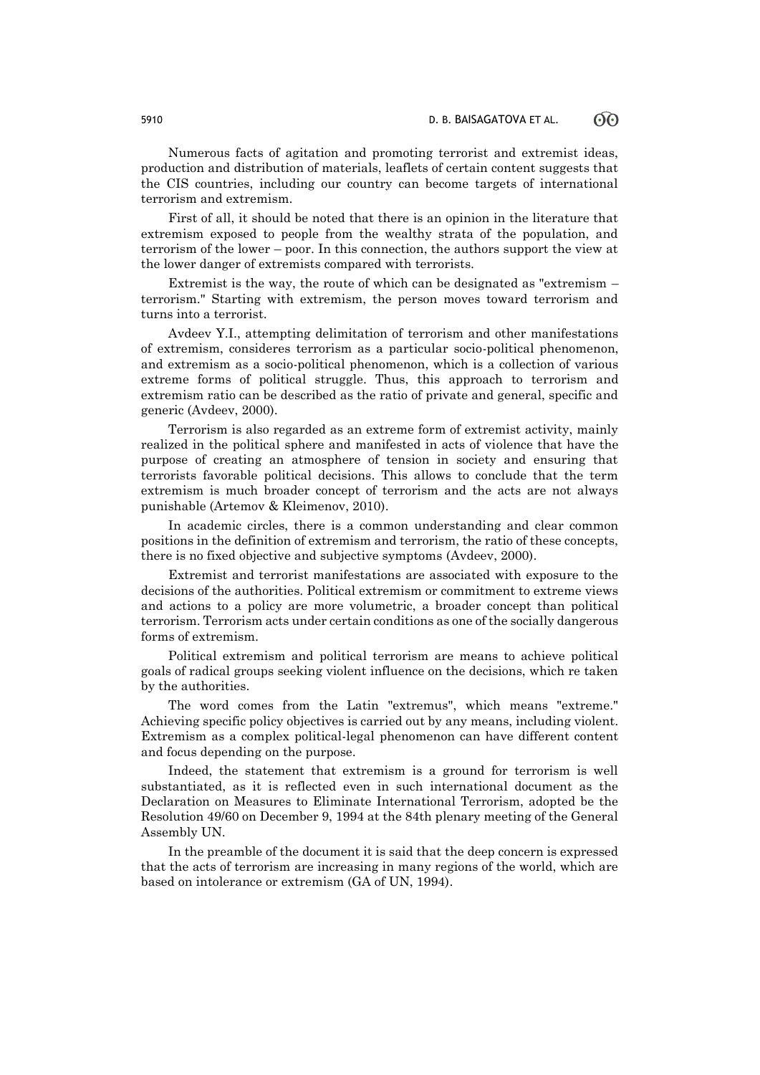Numerous facts of agitation and promoting terrorist and extremist ideas, production and distribution of materials, leaflets of certain content suggests that the CIS countries, including our country can become targets of international terrorism and extremism.

First of all, it should be noted that there is an opinion in the literature that extremism exposed to people from the wealthy strata of the population, and terrorism of the lower – poor. In this connection, the authors support the view at the lower danger of extremists compared with terrorists.

Extremist is the way, the route of which can be designated as "extremism – terrorism." Starting with extremism, the person moves toward terrorism and turns into a terrorist.

Avdeev Y.I., attempting delimitation of terrorism and other manifestations of extremism, consideres terrorism as a particular socio-political phenomenon, and extremism as a socio-political phenomenon, which is a collection of various extreme forms of political struggle. Thus, this approach to terrorism and extremism ratio can be described as the ratio of private and general, specific and generic (Avdeev, 2000).

Terrorism is also regarded as an extreme form of extremist activity, mainly realized in the political sphere and manifested in acts of violence that have the purpose of creating an atmosphere of tension in society and ensuring that terrorists favorable political decisions. This allows to conclude that the term extremism is much broader concept of terrorism and the acts are not always punishable (Artemov & Kleimenov, 2010).

In academic circles, there is a common understanding and clear common positions in the definition of extremism and terrorism, the ratio of these concepts, there is no fixed objective and subjective symptoms (Avdeev, 2000).

Extremist and terrorist manifestations are associated with exposure to the decisions of the authorities. Political extremism or commitment to extreme views and actions to a policy are more volumetric, a broader concept than political terrorism. Terrorism acts under certain conditions as one of the socially dangerous forms of extremism.

Political extremism and political terrorism are means to achieve political goals of radical groups seeking violent influence on the decisions, which re taken by the authorities.

The word comes from the Latin "extremus", which means "extreme." Achieving specific policy objectives is carried out by any means, including violent. Extremism as a complex political-legal phenomenon can have different content and focus depending on the purpose.

Indeed, the statement that extremism is a ground for terrorism is well substantiated, as it is reflected even in such international document as the Declaration on Measures to Eliminate International Terrorism, adopted be the Resolution 49/60 on December 9, 1994 at the 84th plenary meeting of the General Assembly UN.

In the preamble of the document it is said that the deep concern is expressed that the acts of terrorism are increasing in many regions of the world, which are based on intolerance or extremism (GA of UN, 1994).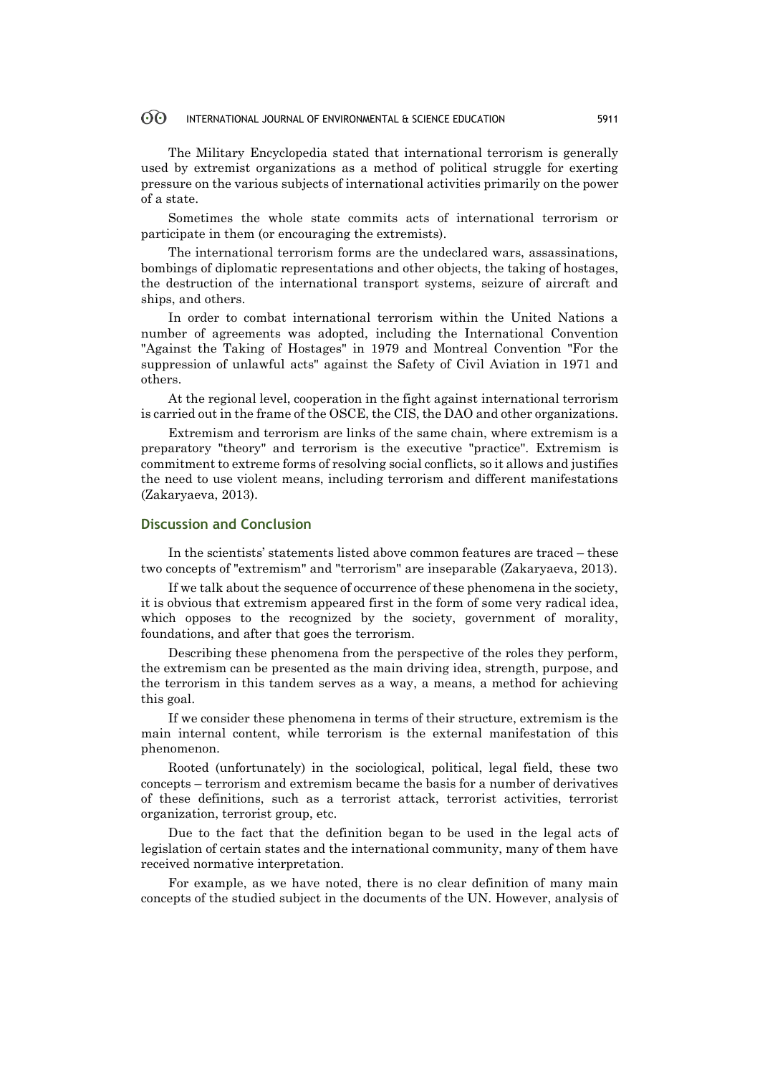The Military Encyclopedia stated that international terrorism is generally used by extremist organizations as a method of political struggle for exerting pressure on the various subjects of international activities primarily on the power of a state.

Sometimes the whole state commits acts of international terrorism or participate in them (or encouraging the extremists).

The international terrorism forms are the undeclared wars, assassinations, bombings of diplomatic representations and other objects, the taking of hostages, the destruction of the international transport systems, seizure of aircraft and ships, and others.

In order to combat international terrorism within the United Nations a number of agreements was adopted, including the International Convention "Against the Taking of Hostages" in 1979 and Montreal Convention "For the suppression of unlawful acts" against the Safety of Civil Aviation in 1971 and others.

At the regional level, cooperation in the fight against international terrorism is carried out in the frame of the OSCE, the CIS, the DAO and other organizations.

Extremism and terrorism are links of the same chain, where extremism is a preparatory "theory" and terrorism is the executive "practice". Extremism is commitment to extreme forms of resolving social conflicts, so it allows and justifies the need to use violent means, including terrorism and different manifestations (Zakaryaeva, 2013).

# **Discussion and Conclusion**

In the scientists' statements listed above common features are traced – these two concepts of "extremism" and "terrorism" are inseparable (Zakaryaeva, 2013).

If we talk about the sequence of occurrence of these phenomena in the society, it is obvious that extremism appeared first in the form of some very radical idea, which opposes to the recognized by the society, government of morality, foundations, and after that goes the terrorism.

Describing these phenomena from the perspective of the roles they perform, the extremism can be presented as the main driving idea, strength, purpose, and the terrorism in this tandem serves as a way, a means, a method for achieving this goal.

If we consider these phenomena in terms of their structure, extremism is the main internal content, while terrorism is the external manifestation of this phenomenon.

Rooted (unfortunately) in the sociological, political, legal field, these two concepts – terrorism and extremism became the basis for a number of derivatives of these definitions, such as a terrorist attack, terrorist activities, terrorist organization, terrorist group, etc.

Due to the fact that the definition began to be used in the legal acts of legislation of certain states and the international community, many of them have received normative interpretation.

For example, as we have noted, there is no clear definition of many main concepts of the studied subject in the documents of the UN. However, analysis of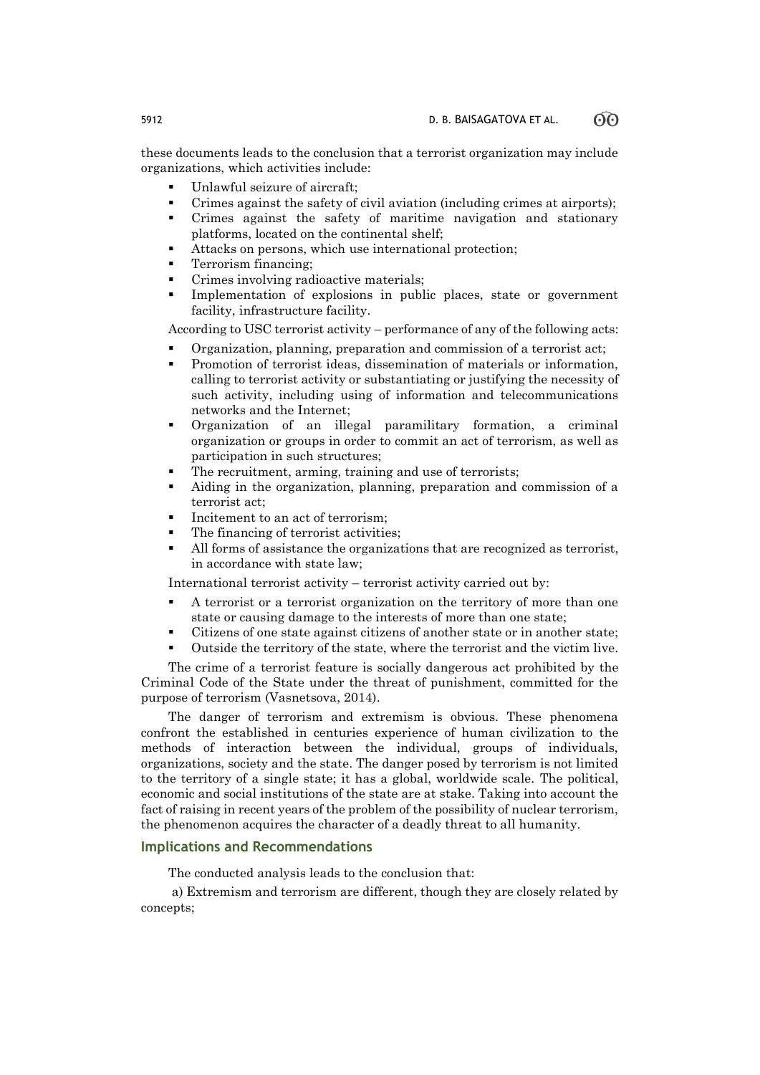these documents leads to the conclusion that a terrorist organization may include organizations, which activities include:

- Unlawful seizure of aircraft;
- Crimes against the safety of civil aviation (including crimes at airports);
- Crimes against the safety of maritime navigation and stationary platforms, located on the continental shelf;
- Attacks on persons, which use international protection;
- Terrorism financing;
- Crimes involving radioactive materials;
- Implementation of explosions in public places, state or government facility, infrastructure facility.

According to USC terrorist activity – performance of any of the following acts:

- Organization, planning, preparation and commission of a terrorist act;
- Promotion of terrorist ideas, dissemination of materials or information, calling to terrorist activity or substantiating or justifying the necessity of such activity, including using of information and telecommunications networks and the Internet;
- Organization of an illegal paramilitary formation, a criminal organization or groups in order to commit an act of terrorism, as well as participation in such structures;
- The recruitment, arming, training and use of terrorists;
- Aiding in the organization, planning, preparation and commission of a terrorist act;
- Incitement to an act of terrorism;
- The financing of terrorist activities;
- All forms of assistance the organizations that are recognized as terrorist, in accordance with state law;

International terrorist activity – terrorist activity carried out by:

- A terrorist or a terrorist organization on the territory of more than one state or causing damage to the interests of more than one state;
- Citizens of one state against citizens of another state or in another state;
- Outside the territory of the state, where the terrorist and the victim live.

The crime of a terrorist feature is socially dangerous act prohibited by the Criminal Code of the State under the threat of punishment, committed for the purpose of terrorism (Vasnetsova, 2014).

The danger of terrorism and extremism is obvious. These phenomena confront the established in centuries experience of human civilization to the methods of interaction between the individual, groups of individuals, organizations, society and the state. The danger posed by terrorism is not limited to the territory of a single state; it has a global, worldwide scale. The political, economic and social institutions of the state are at stake. Taking into account the fact of raising in recent years of the problem of the possibility of nuclear terrorism, the phenomenon acquires the character of a deadly threat to all humanity.

# **Implications and Recommendations**

The conducted analysis leads to the conclusion that:

a) Extremism and terrorism are different, though they are closely related by concepts;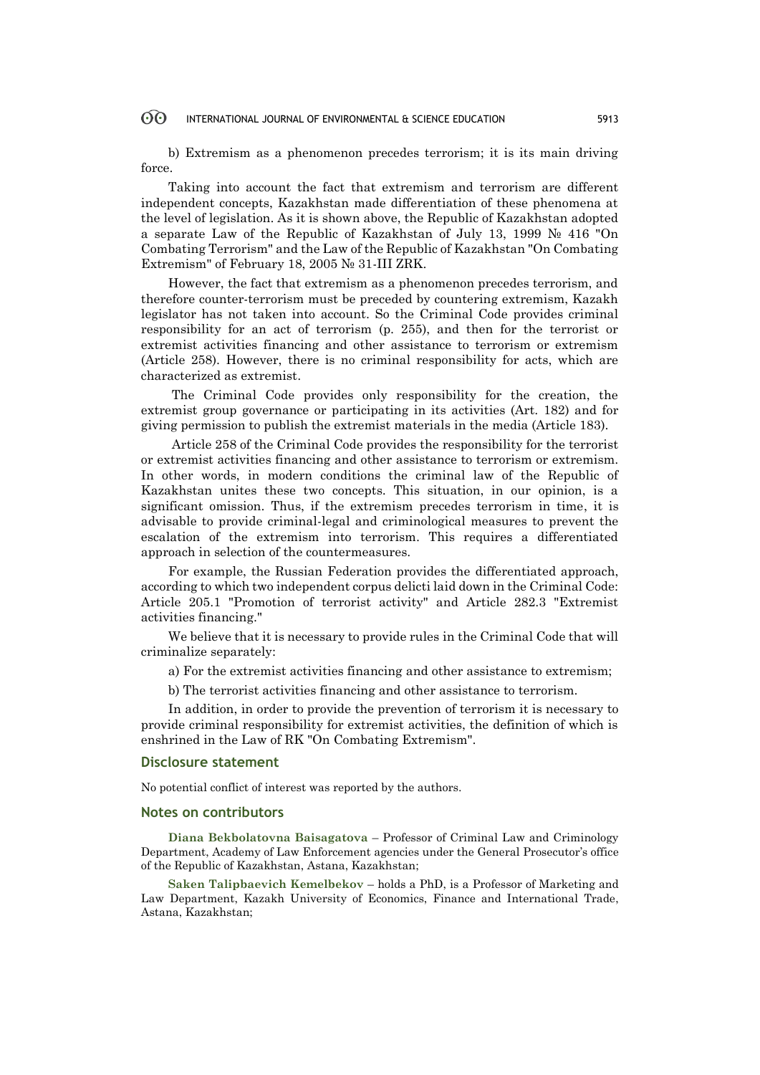b) Extremism as a phenomenon precedes terrorism; it is its main driving force.

Taking into account the fact that extremism and terrorism are different independent concepts, Kazakhstan made differentiation of these phenomena at the level of legislation. As it is shown above, the Republic of Kazakhstan adopted a separate Law of the Republic of Kazakhstan of July 13, 1999 № 416 "On Combating Terrorism" and the Law of the Republic of Kazakhstan "On Combating Extremism" of February 18, 2005 № 31-III ZRK.

However, the fact that extremism as a phenomenon precedes terrorism, and therefore counter-terrorism must be preceded by countering extremism, Kazakh legislator has not taken into account. So the Criminal Code provides criminal responsibility for an act of terrorism (p. 255), and then for the terrorist or extremist activities financing and other assistance to terrorism or extremism (Article 258). However, there is no criminal responsibility for acts, which are characterized as extremist.

The Criminal Code provides only responsibility for the creation, the extremist group governance or participating in its activities (Art. 182) and for giving permission to publish the extremist materials in the media (Article 183).

Article 258 of the Criminal Code provides the responsibility for the terrorist or extremist activities financing and other assistance to terrorism or extremism. In other words, in modern conditions the criminal law of the Republic of Kazakhstan unites these two concepts. This situation, in our opinion, is a significant omission. Thus, if the extremism precedes terrorism in time, it is advisable to provide criminal-legal and criminological measures to prevent the escalation of the extremism into terrorism. This requires a differentiated approach in selection of the countermeasures.

For example, the Russian Federation provides the differentiated approach, according to which two independent corpus delicti laid down in the Criminal Code: Article 205.1 "Promotion of terrorist activity" and Article 282.3 "Extremist activities financing."

We believe that it is necessary to provide rules in the Criminal Code that will criminalize separately:

a) For the extremist activities financing and other assistance to extremism;

b) The terrorist activities financing and other assistance to terrorism.

In addition, in order to provide the prevention of terrorism it is necessary to provide criminal responsibility for extremist activities, the definition of which is enshrined in the Law of RK "On Combating Extremism".

# **Disclosure statement**

No potential conflict of interest was reported by the authors.

### **Notes on contributors**

**Diana Bekbolatovna Baisagatova** – Professor of Criminal Law and Criminology Department, Academy of Law Enforcement agencies under the General Prosecutor's office of the Republic of Kazakhstan, Astana, Kazakhstan;

**Saken Talipbaevich Kemelbekov** – holds a PhD, is a Professor of Marketing and Law Department, Kazakh University of Economics, Finance and International Trade, Astana, Kazakhstan;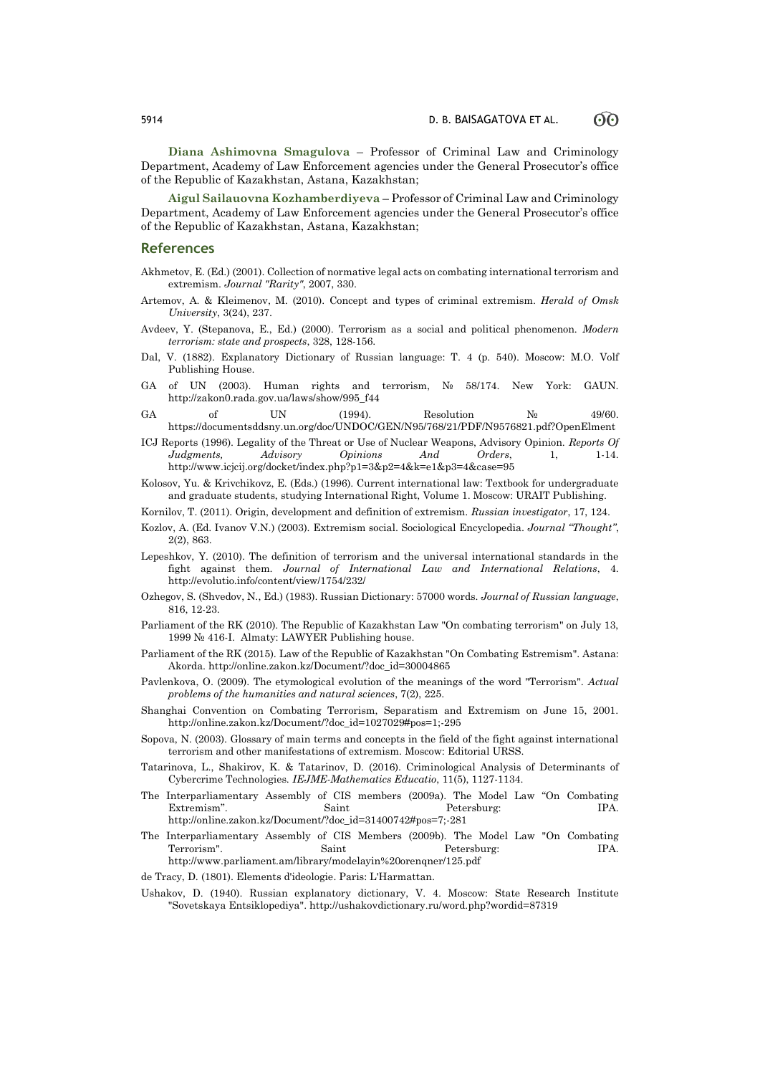**Diana Ashimovna Smagulova** – Professor of Criminal Law and Criminology Department, Academy of Law Enforcement agencies under the General Prosecutor's office of the Republic of Kazakhstan, Astana, Kazakhstan;

**Aigul Sailauovna Kozhamberdiyeva** – Professor of Criminal Law and Criminology Department, Academy of Law Enforcement agencies under the General Prosecutor's office of the Republic of Kazakhstan, Astana, Kazakhstan;

### **References**

- Akhmetov, E. (Ed.) (2001). Collection of normative legal acts on combating international terrorism and extremism. *Journal "Rarity"*, 2007, 330.
- Artemov, A. & Kleimenov, M. (2010). Concept and types of criminal extremism. *Herald of Omsk University*, 3(24), 237.
- Avdeev, Y. (Stepanova, E., Ed.) (2000). Terrorism as a social and political phenomenon. *Modern terrorism: state and prospects*, 328, 128-156.
- Dal, V. (1882). Explanatory Dictionary of Russian language: T. 4 (p. 540). Moscow: M.O. Volf Publishing House.
- GA of UN (2003). Human rights and terrorism, № 58/174. New York: GAUN. http://zakon0.rada.gov.ua/laws/show/995\_f44
- GA of UN (1994). Resolution  $N_2$  49/60. https://documentsddsny.un.org/doc/UNDOC/GEN/N95/768/21/PDF/N9576821.pdf?OpenElment
- ICJ Reports (1996). Legality of the Threat or Use of Nuclear Weapons, Advisory Opinion. *Reports Of Judgments, Advisory Opinions And Orders*, 1, 1-14. http://www.icjcij.org/docket/index.php?p1=3&p2=4&k=e1&p3=4&case=95
- Kolosov, Yu. & Krivchikovz, E. (Eds.) (1996). Current international law: Textbook for undergraduate and graduate students, studying International Right, Volume 1. Moscow: URAIT Publishing.
- Kornilov, T. (2011). Origin, development and definition of extremism. *Russian investigator*, 17, 124.
- Kozlov, A. (Ed. Ivanov V.N.) (2003). Extremism social. Sociological Encyclopedia. *Journal "Thought"*, 2(2), 863.
- Lepeshkov, Y. (2010). The definition of terrorism and the universal international standards in the fight against them. *Journal of International Law and International Relations*, 4. http://evolutio.info/content/view/1754/232/
- Ozhegov, S. (Shvedov, N., Ed.) (1983). Russian Dictionary: 57000 words. *Journal of Russian language*, 816, 12-23.
- Parliament of the RK (2010). The Republic of Kazakhstan Law "On combating terrorism" on July 13, 1999 № 416-I. Almaty: LAWYER Publishing house.
- Parliament of the RK (2015). Law of the Republic of Kazakhstan "On Combating Estremism". Astana: Akorda. http://online.zakon.kz/Document/?doc\_id=30004865
- Pavlenkova, O. (2009). The etymological evolution of the meanings of the word "Terrorism". *Actual problems of the humanities and natural sciences*, 7(2), 225.
- Shanghai Convention on Combating Terrorism, Separatism and Extremism on June 15, 2001. http://online.zakon.kz/Document/?doc\_id=1027029#pos=1;-295
- Sopova, N. (2003). Glossary of main terms and concepts in the field of the fight against international terrorism and other manifestations of extremism. Moscow: Editorial URSS.
- Tatarinova, L., Shakirov, K. & Tatarinov, D. (2016). Criminological Analysis of Determinants of Cybercrime Technologies. *IEJME-Mathematics Educatio*, 11(5), 1127-1134.
- The Interparliamentary Assembly of CIS members (2009a). The Model Law "On Combating Extremism". Saint Petersburg: IPA. http://online.zakon.kz/Document/?doc\_id=31400742#pos=7;-281
- The Interparliamentary Assembly of CIS Members (2009b). The Model Law "On Combating Terrorism". Saint Petersburg: IPA. http://www.parliament.am/library/modelayin%20orenqner/125.pdf
- de Tracy, D. (1801). Elements d'ideologie. Paris: L'Harmattan.
- Ushakov, D. (1940). Russian explanatory dictionary, V. 4. Moscow: State Research Institute "Sovetskaya Entsiklopediya". http://ushakovdictionary.ru/word.php?wordid=87319